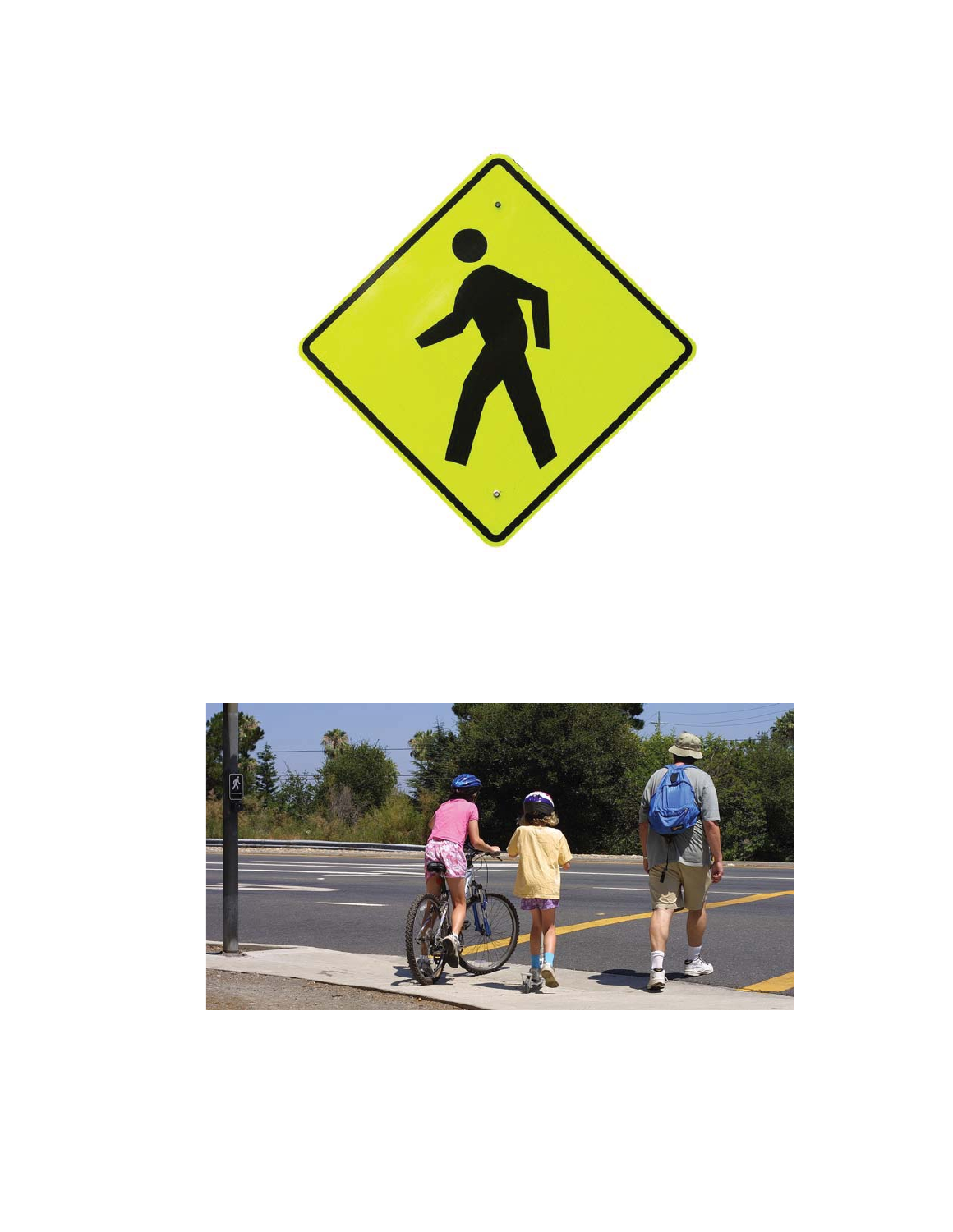

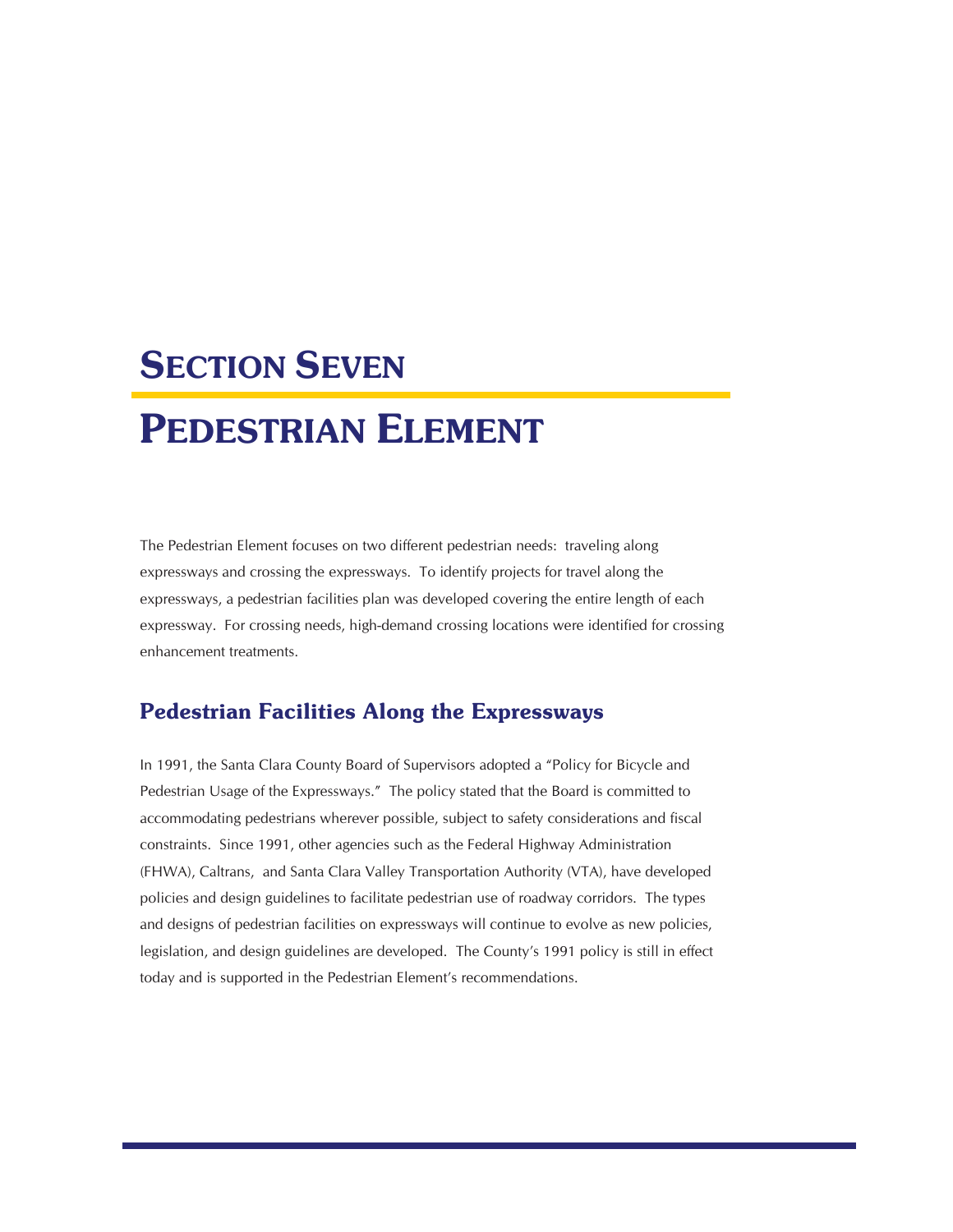# **SECTION SEVEN**

# PEDESTRIAN ELEMENT

The Pedestrian Element focuses on two different pedestrian needs: traveling along expressways and crossing the expressways. To identify projects for travel along the expressways, a pedestrian facilities plan was developed covering the entire length of each expressway. For crossing needs, high-demand crossing locations were identified for crossing enhancement treatments.

## Pedestrian Facilities Along the Expressways

In 1991, the Santa Clara County Board of Supervisors adopted a "Policy for Bicycle and Pedestrian Usage of the Expressways." The policy stated that the Board is committed to accommodating pedestrians wherever possible, subject to safety considerations and fiscal constraints. Since 1991, other agencies such as the Federal Highway Administration (FHWA), Caltrans, and Santa Clara Valley Transportation Authority (VTA), have developed policies and design guidelines to facilitate pedestrian use of roadway corridors. The types and designs of pedestrian facilities on expressways will continue to evolve as new policies, legislation, and design guidelines are developed. The County's 1991 policy is still in effect today and is supported in the Pedestrian Element's recommendations.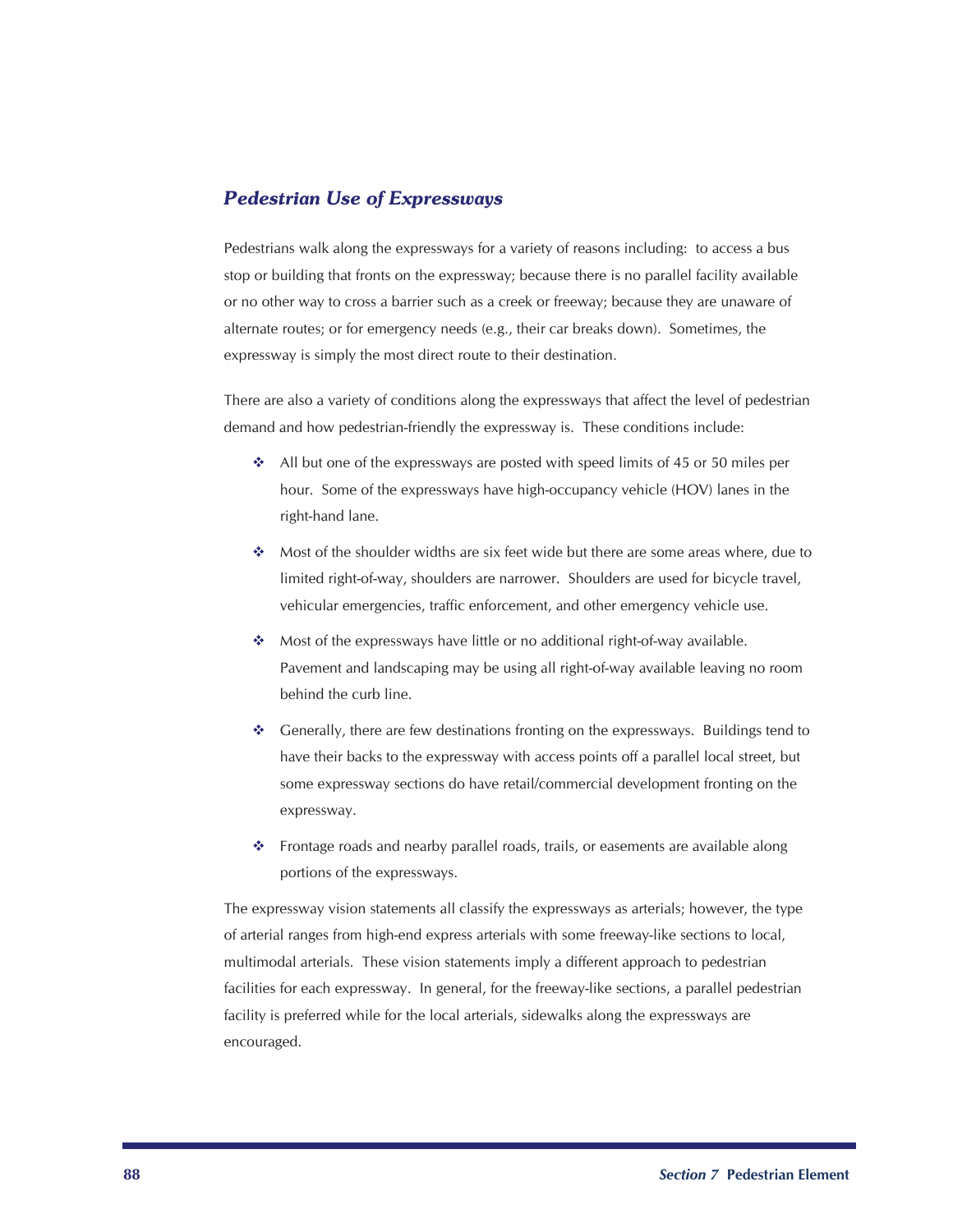## *Pedestrian Use of Expressways*

Pedestrians walk along the expressways for a variety of reasons including: to access a bus stop or building that fronts on the expressway; because there is no parallel facility available or no other way to cross a barrier such as a creek or freeway; because they are unaware of alternate routes; or for emergency needs (e.g., their car breaks down). Sometimes, the expressway is simply the most direct route to their destination.

There are also a variety of conditions along the expressways that affect the level of pedestrian demand and how pedestrian-friendly the expressway is. These conditions include:

- $\cdot$  All but one of the expressways are posted with speed limits of 45 or 50 miles per hour. Some of the expressways have high-occupancy vehicle (HOV) lanes in the right-hand lane.
- ◆ Most of the shoulder widths are six feet wide but there are some areas where, due to limited right-of-way, shoulders are narrower. Shoulders are used for bicycle travel, vehicular emergencies, traffic enforcement, and other emergency vehicle use.
- Most of the expressways have little or no additional right-of-way available. Pavement and landscaping may be using all right-of-way available leaving no room behind the curb line.
- $\triangle$  Generally, there are few destinations fronting on the expressways. Buildings tend to have their backs to the expressway with access points off a parallel local street, but some expressway sections do have retail/commercial development fronting on the expressway.
- ◆ Frontage roads and nearby parallel roads, trails, or easements are available along portions of the expressways.

The expressway vision statements all classify the expressways as arterials; however, the type of arterial ranges from high-end express arterials with some freeway-like sections to local, multimodal arterials. These vision statements imply a different approach to pedestrian facilities for each expressway. In general, for the freeway-like sections, a parallel pedestrian facility is preferred while for the local arterials, sidewalks along the expressways are encouraged.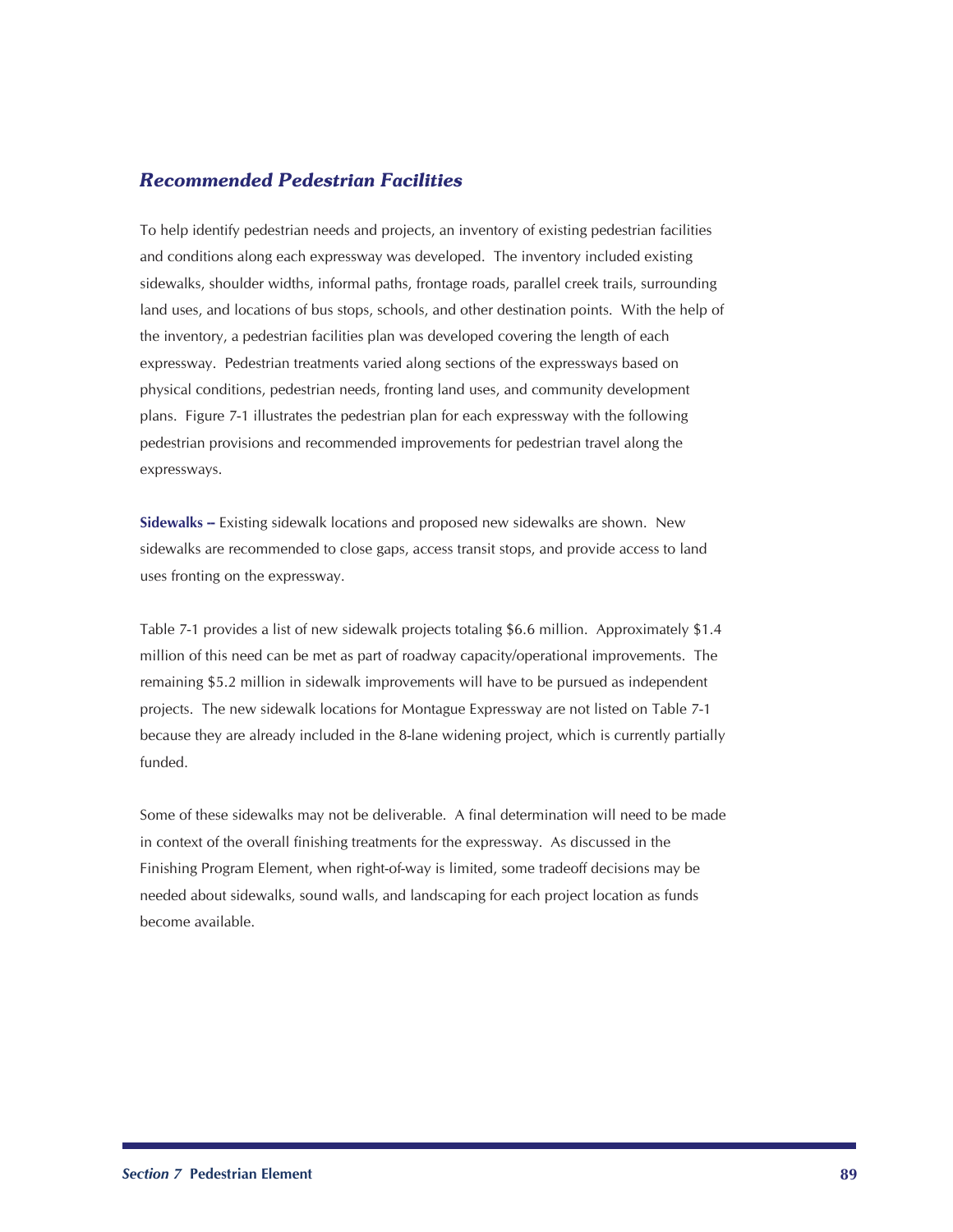### *Recommended Pedestrian Facilities*

To help identify pedestrian needs and projects, an inventory of existing pedestrian facilities and conditions along each expressway was developed. The inventory included existing sidewalks, shoulder widths, informal paths, frontage roads, parallel creek trails, surrounding land uses, and locations of bus stops, schools, and other destination points. With the help of the inventory, a pedestrian facilities plan was developed covering the length of each expressway. Pedestrian treatments varied along sections of the expressways based on physical conditions, pedestrian needs, fronting land uses, and community development plans. Figure 7-1 illustrates the pedestrian plan for each expressway with the following pedestrian provisions and recommended improvements for pedestrian travel along the expressways.

**Sidewalks --** Existing sidewalk locations and proposed new sidewalks are shown. New sidewalks are recommended to close gaps, access transit stops, and provide access to land uses fronting on the expressway.

Table 7-1 provides a list of new sidewalk projects totaling \$6.6 million. Approximately \$1.4 million of this need can be met as part of roadway capacity/operational improvements. The remaining \$5.2 million in sidewalk improvements will have to be pursued as independent projects. The new sidewalk locations for Montague Expressway are not listed on Table 7-1 because they are already included in the 8-lane widening project, which is currently partially funded.

Some of these sidewalks may not be deliverable. A final determination will need to be made in context of the overall finishing treatments for the expressway. As discussed in the Finishing Program Element, when right-of-way is limited, some tradeoff decisions may be needed about sidewalks, sound walls, and landscaping for each project location as funds become available.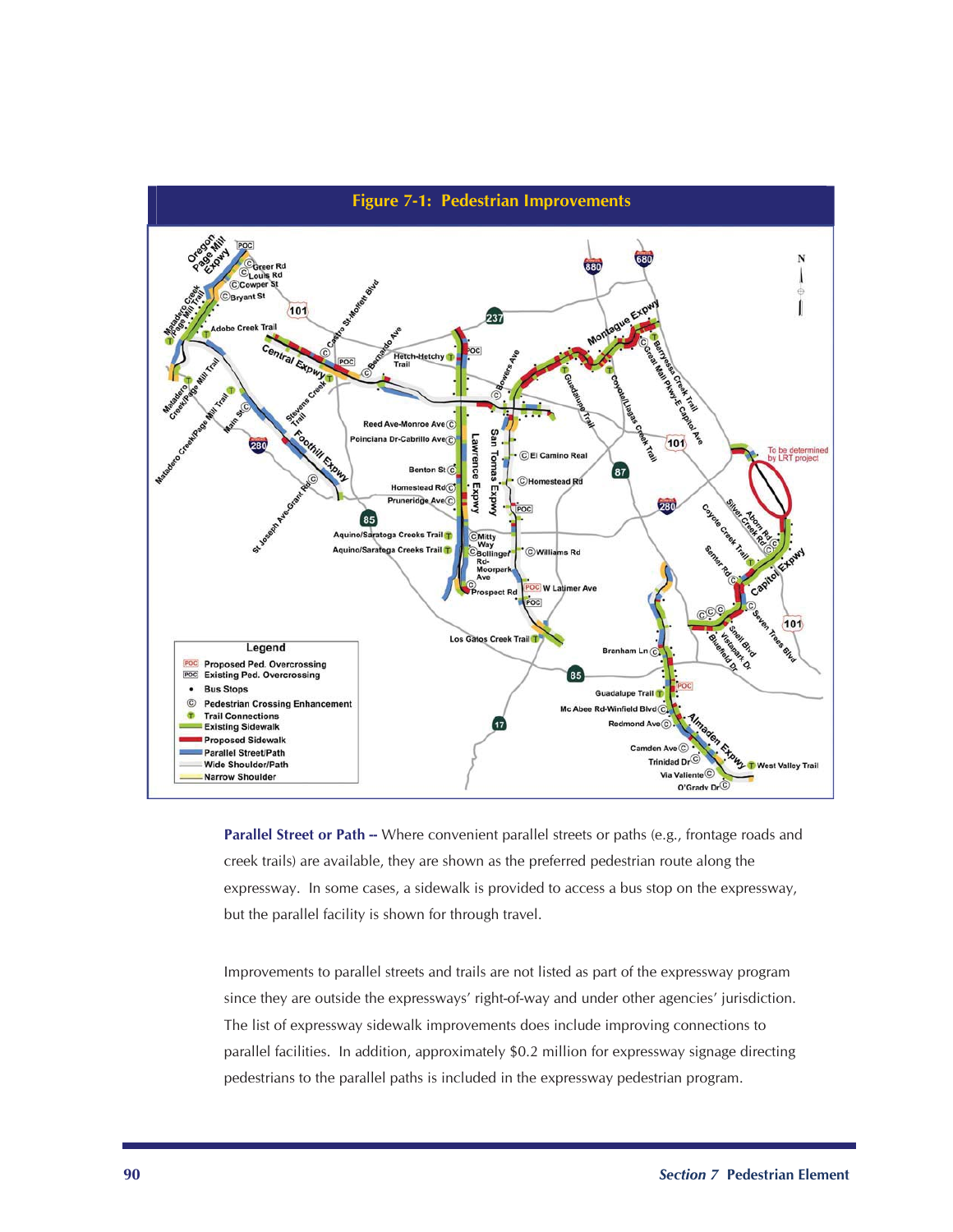

Parallel Street or Path -- Where convenient parallel streets or paths (e.g., frontage roads and creek trails) are available, they are shown as the preferred pedestrian route along the expressway. In some cases, a sidewalk is provided to access a bus stop on the expressway, but the parallel facility is shown for through travel.

Improvements to parallel streets and trails are not listed as part of the expressway program since they are outside the expressways' right-of-way and under other agencies' jurisdiction. The list of expressway sidewalk improvements does include improving connections to parallel facilities. In addition, approximately \$0.2 million for expressway signage directing pedestrians to the parallel paths is included in the expressway pedestrian program.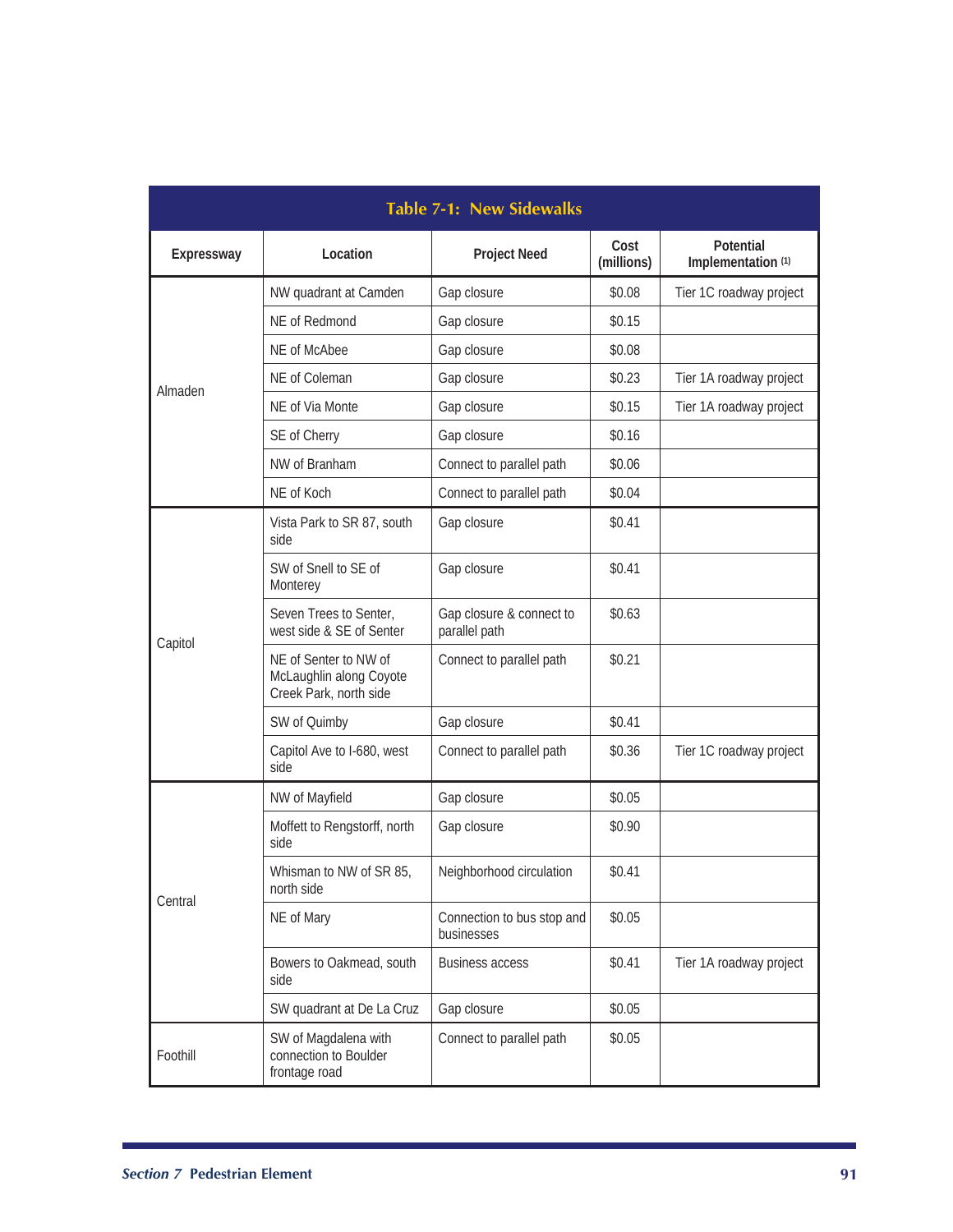| <b>Table 7-1: New Sidewalks</b> |                                                                            |                                           |                    |                                 |
|---------------------------------|----------------------------------------------------------------------------|-------------------------------------------|--------------------|---------------------------------|
| Expressway                      | Location                                                                   | <b>Project Need</b>                       | Cost<br>(millions) | Potential<br>Implementation (1) |
|                                 | NW quadrant at Camden                                                      | Gap closure                               | \$0.08             | Tier 1C roadway project         |
|                                 | NE of Redmond                                                              | Gap closure                               | \$0.15             |                                 |
|                                 | NE of McAbee                                                               | Gap closure                               | \$0.08             |                                 |
| Almaden                         | NE of Coleman                                                              | Gap closure                               | \$0.23             | Tier 1A roadway project         |
|                                 | NE of Via Monte                                                            | Gap closure                               | \$0.15             | Tier 1A roadway project         |
|                                 | SE of Cherry                                                               | Gap closure                               | \$0.16             |                                 |
|                                 | NW of Branham                                                              | Connect to parallel path                  | \$0.06             |                                 |
|                                 | NE of Koch                                                                 | Connect to parallel path                  | \$0.04             |                                 |
|                                 | Vista Park to SR 87, south<br>side                                         | Gap closure                               | \$0.41             |                                 |
|                                 | SW of Snell to SE of<br>Monterey                                           | Gap closure                               | \$0.41             |                                 |
|                                 | Seven Trees to Senter,<br>west side & SE of Senter                         | Gap closure & connect to<br>parallel path | \$0.63             |                                 |
| Capitol                         | NE of Senter to NW of<br>McLaughlin along Coyote<br>Creek Park, north side | Connect to parallel path                  | \$0.21             |                                 |
|                                 | SW of Quimby                                                               | Gap closure                               | \$0.41             |                                 |
|                                 | Capitol Ave to I-680, west<br>side                                         | Connect to parallel path                  | \$0.36             | Tier 1C roadway project         |
| Central                         | NW of Mayfield                                                             | Gap closure                               | \$0.05             |                                 |
|                                 | Moffett to Rengstorff, north<br>side                                       | Gap closure                               | \$0.90             |                                 |
|                                 | Whisman to NW of SR 85,<br>north side                                      | Neighborhood circulation                  | \$0.41             |                                 |
|                                 | NE of Mary                                                                 | Connection to bus stop and<br>businesses  | \$0.05             |                                 |
|                                 | Bowers to Oakmead, south<br>side                                           | <b>Business access</b>                    | \$0.41             | Tier 1A roadway project         |
|                                 | SW quadrant at De La Cruz                                                  | Gap closure                               | \$0.05             |                                 |
| Foothill                        | SW of Magdalena with<br>connection to Boulder<br>frontage road             | Connect to parallel path                  | \$0.05             |                                 |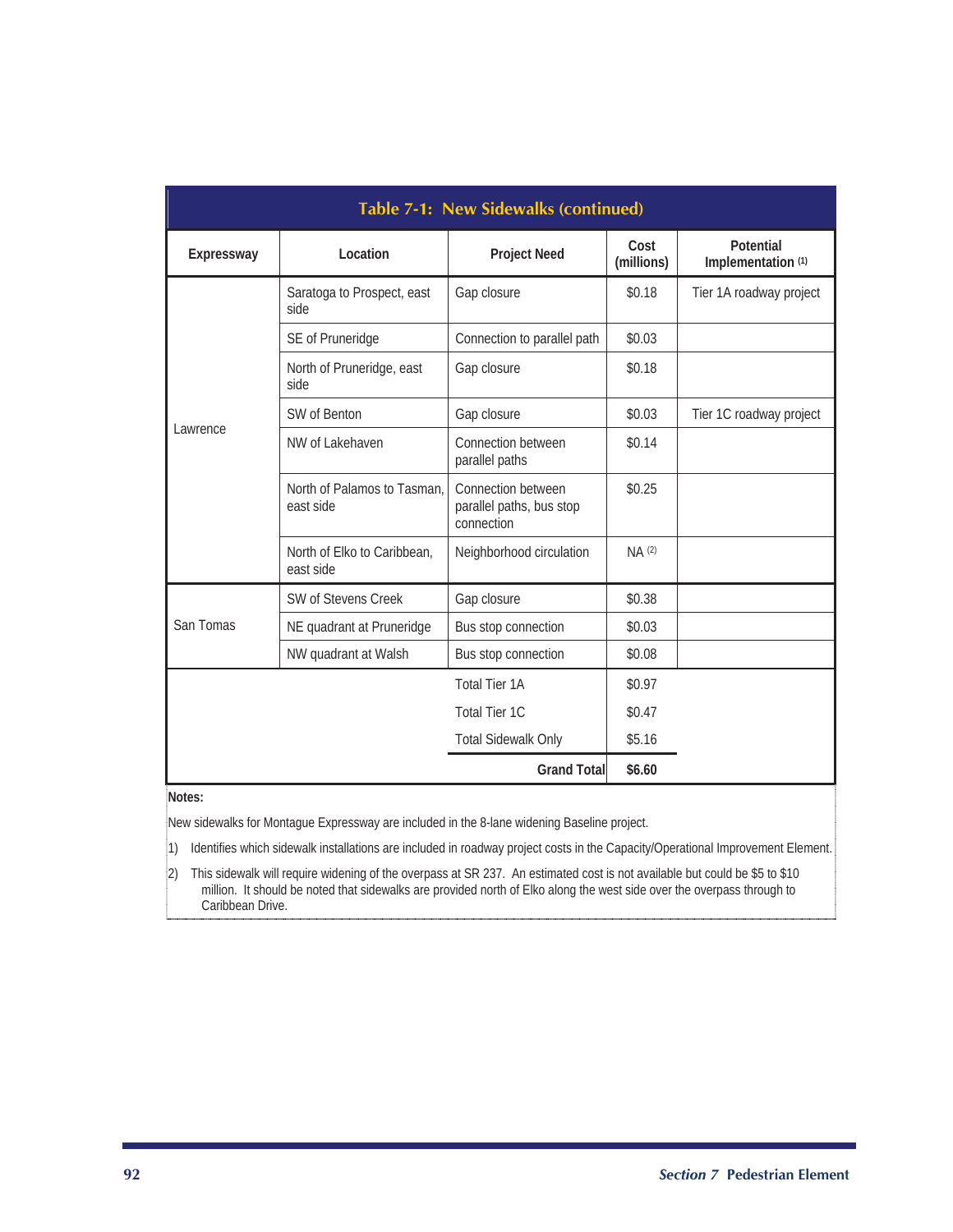| Table 7-1: New Sidewalks (continued) |                                          |                                                              |                    |                                 |
|--------------------------------------|------------------------------------------|--------------------------------------------------------------|--------------------|---------------------------------|
| Expressway                           | Location                                 | <b>Project Need</b>                                          | Cost<br>(millions) | Potential<br>Implementation (1) |
|                                      | Saratoga to Prospect, east<br>side       | Gap closure                                                  | \$0.18             | Tier 1A roadway project         |
|                                      | SE of Pruneridge                         | Connection to parallel path                                  | \$0.03             |                                 |
|                                      | North of Pruneridge, east<br>side        | Gap closure                                                  | \$0.18             |                                 |
|                                      | SW of Benton                             | Gap closure                                                  | \$0.03             | Tier 1C roadway project         |
| Lawrence                             | NW of Lakehaven                          | Connection between<br>parallel paths                         | \$0.14             |                                 |
|                                      | North of Palamos to Tasman.<br>east side | Connection between<br>parallel paths, bus stop<br>connection | \$0.25             |                                 |
|                                      | North of Elko to Caribbean,<br>east side | Neighborhood circulation                                     | $NA$ (2)           |                                 |
|                                      | SW of Stevens Creek                      | Gap closure                                                  | \$0.38             |                                 |
| San Tomas                            | NE quadrant at Pruneridge                | Bus stop connection                                          | \$0.03             |                                 |
|                                      | NW quadrant at Walsh                     | Bus stop connection                                          | \$0.08             |                                 |
|                                      |                                          | <b>Total Tier 1A</b>                                         | \$0.97             |                                 |
|                                      |                                          | Total Tier 1C                                                | \$0.47             |                                 |
|                                      |                                          | <b>Total Sidewalk Only</b>                                   | \$5.16             |                                 |
|                                      |                                          | <b>Grand Total</b>                                           | \$6.60             |                                 |

#### **Notes:**

New sidewalks for Montague Expressway are included in the 8-lane widening Baseline project.

1) Identifies which sidewalk installations are included in roadway project costs in the Capacity/Operational Improvement Element.

2) This sidewalk will require widening of the overpass at SR 237. An estimated cost is not available but could be \$5 to \$10 million. It should be noted that sidewalks are provided north of Elko along the west side over the overpass through to Caribbean Drive.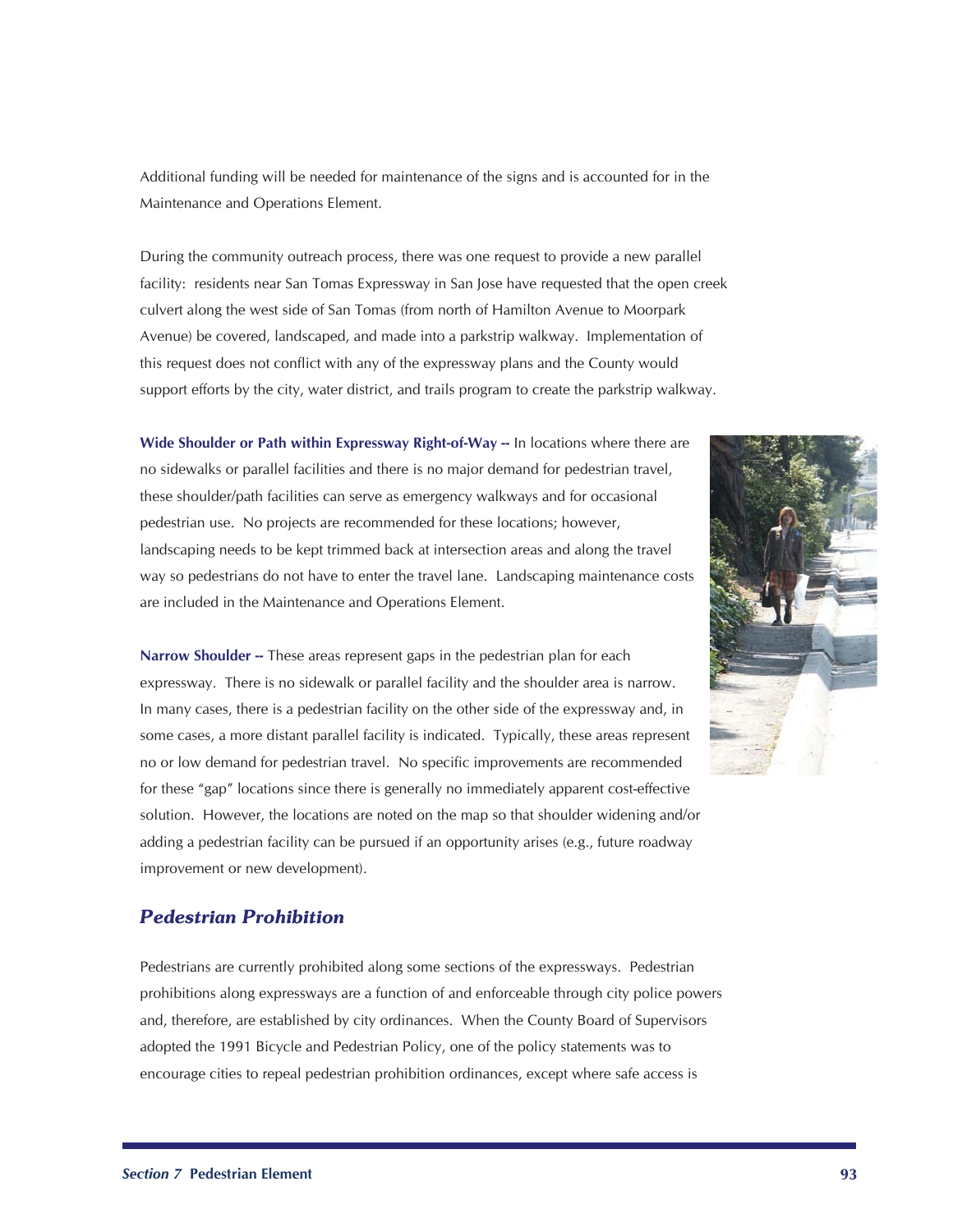Additional funding will be needed for maintenance of the signs and is accounted for in the Maintenance and Operations Element.

During the community outreach process, there was one request to provide a new parallel facility: residents near San Tomas Expressway in San Jose have requested that the open creek culvert along the west side of San Tomas (from north of Hamilton Avenue to Moorpark Avenue) be covered, landscaped, and made into a parkstrip walkway. Implementation of this request does not conflict with any of the expressway plans and the County would support efforts by the city, water district, and trails program to create the parkstrip walkway.

**Wide Shoulder or Path within Expressway Right-of-Way --** In locations where there are no sidewalks or parallel facilities and there is no major demand for pedestrian travel, these shoulder/path facilities can serve as emergency walkways and for occasional pedestrian use. No projects are recommended for these locations; however, landscaping needs to be kept trimmed back at intersection areas and along the travel way so pedestrians do not have to enter the travel lane. Landscaping maintenance costs are included in the Maintenance and Operations Element.

**Narrow Shoulder --** These areas represent gaps in the pedestrian plan for each expressway. There is no sidewalk or parallel facility and the shoulder area is narrow. In many cases, there is a pedestrian facility on the other side of the expressway and, in some cases, a more distant parallel facility is indicated. Typically, these areas represent no or low demand for pedestrian travel. No specific improvements are recommended for these "gap" locations since there is generally no immediately apparent cost-effective solution. However, the locations are noted on the map so that shoulder widening and/or adding a pedestrian facility can be pursued if an opportunity arises (e.g., future roadway improvement or new development).



### *Pedestrian Prohibition*

Pedestrians are currently prohibited along some sections of the expressways. Pedestrian prohibitions along expressways are a function of and enforceable through city police powers and, therefore, are established by city ordinances. When the County Board of Supervisors adopted the 1991 Bicycle and Pedestrian Policy, one of the policy statements was to encourage cities to repeal pedestrian prohibition ordinances, except where safe access is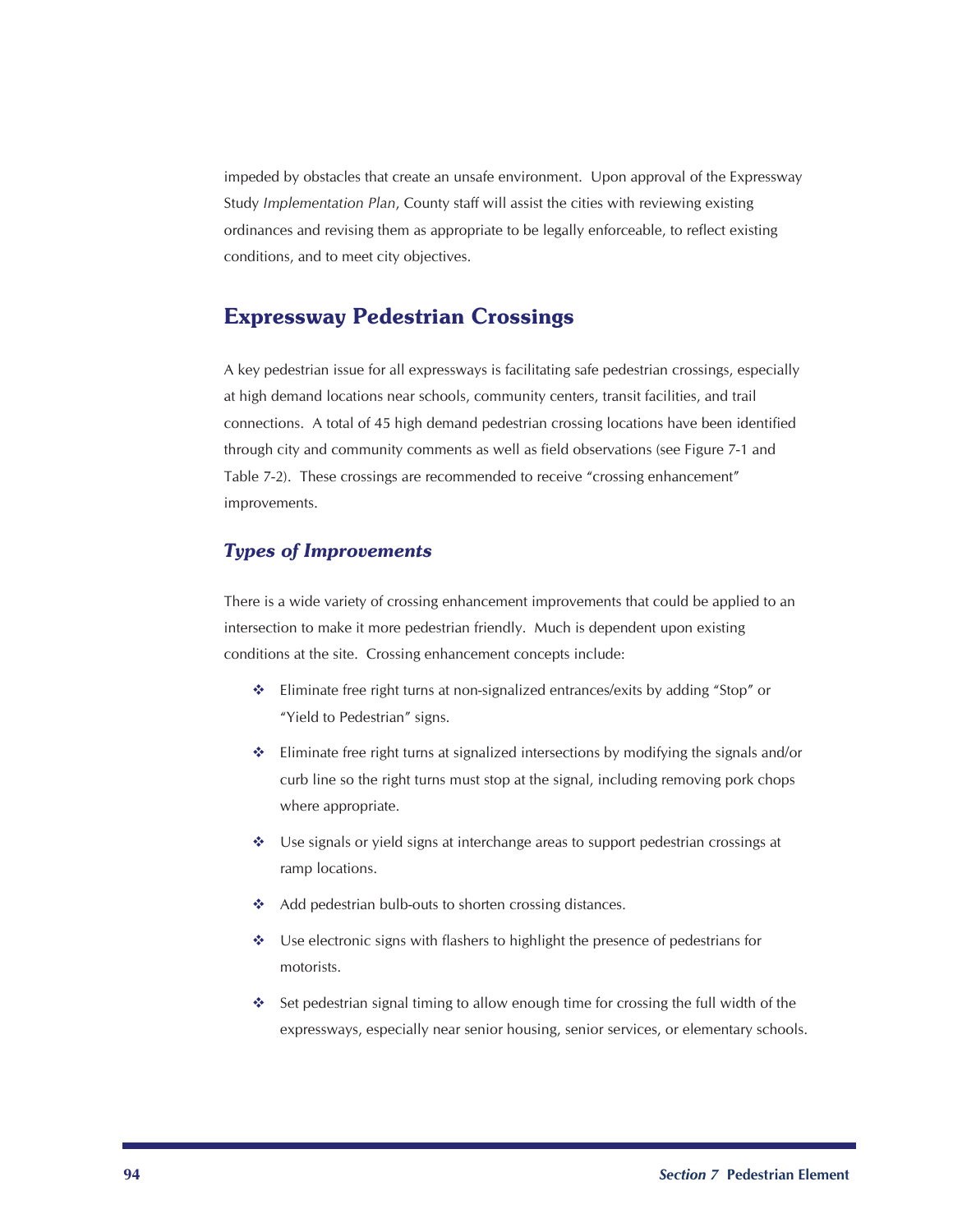impeded by obstacles that create an unsafe environment. Upon approval of the Expressway Study *Implementation Plan*, County staff will assist the cities with reviewing existing ordinances and revising them as appropriate to be legally enforceable, to reflect existing conditions, and to meet city objectives.

## Expressway Pedestrian Crossings

A key pedestrian issue for all expressways is facilitating safe pedestrian crossings, especially at high demand locations near schools, community centers, transit facilities, and trail connections. A total of 45 high demand pedestrian crossing locations have been identified through city and community comments as well as field observations (see Figure 7-1 and Table 7-2). These crossings are recommended to receive "crossing enhancement" improvements.

## *Types of Improvements*

There is a wide variety of crossing enhancement improvements that could be applied to an intersection to make it more pedestrian friendly. Much is dependent upon existing conditions at the site. Crossing enhancement concepts include:

- Eliminate free right turns at non-signalized entrances/exits by adding "Stop" or "Yield to Pedestrian" signs.
- $\triangle$  Eliminate free right turns at signalized intersections by modifying the signals and/or curb line so the right turns must stop at the signal, including removing pork chops where appropriate.
- ÷ Use signals or yield signs at interchange areas to support pedestrian crossings at ramp locations.
- $\mathcal{L}_{\mathcal{S}}$ Add pedestrian bulb-outs to shorten crossing distances.
- Ą. Use electronic signs with flashers to highlight the presence of pedestrians for motorists.
- ÷. Set pedestrian signal timing to allow enough time for crossing the full width of the expressways, especially near senior housing, senior services, or elementary schools.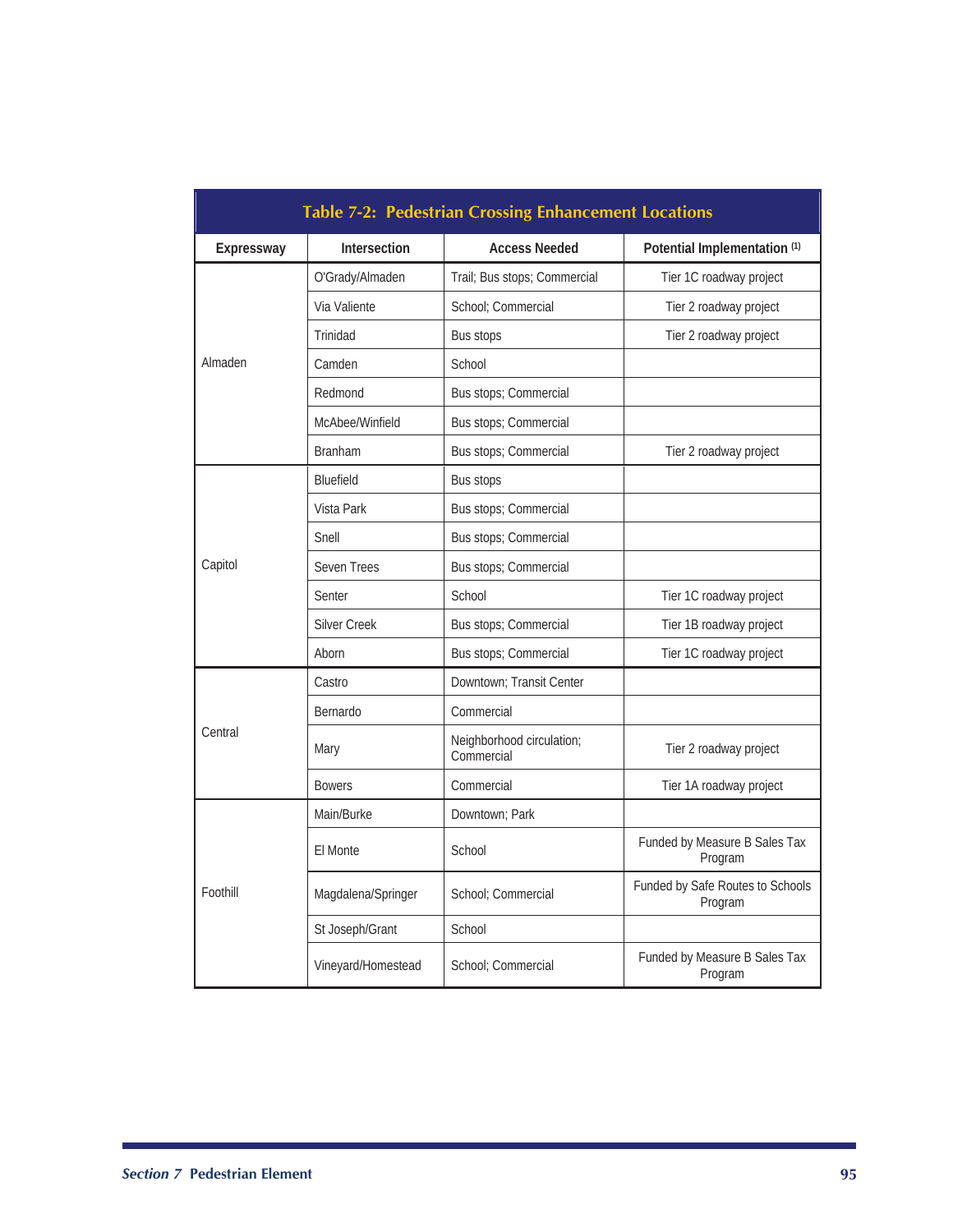| <b>Table 7-2: Pedestrian Crossing Enhancement Locations</b> |                     |                                         |                                             |
|-------------------------------------------------------------|---------------------|-----------------------------------------|---------------------------------------------|
| Expressway                                                  | Intersection        | <b>Access Needed</b>                    | Potential Implementation (1)                |
| Almaden                                                     | O'Grady/Almaden     | Trail; Bus stops; Commercial            | Tier 1C roadway project                     |
|                                                             | Via Valiente        | School: Commercial                      | Tier 2 roadway project                      |
|                                                             | Trinidad            | <b>Bus stops</b>                        | Tier 2 roadway project                      |
|                                                             | Camden              | School                                  |                                             |
|                                                             | Redmond             | Bus stops; Commercial                   |                                             |
|                                                             | McAbee/Winfield     | Bus stops; Commercial                   |                                             |
|                                                             | <b>Branham</b>      | Bus stops; Commercial                   | Tier 2 roadway project                      |
|                                                             | <b>Bluefield</b>    | <b>Bus stops</b>                        |                                             |
|                                                             | Vista Park          | Bus stops; Commercial                   |                                             |
|                                                             | Snell               | Bus stops; Commercial                   |                                             |
| Capitol                                                     | Seven Trees         | Bus stops; Commercial                   |                                             |
|                                                             | Senter              | School                                  | Tier 1C roadway project                     |
|                                                             | <b>Silver Creek</b> | Bus stops; Commercial                   | Tier 1B roadway project                     |
|                                                             | Aborn               | Bus stops; Commercial                   | Tier 1C roadway project                     |
|                                                             | Castro              | Downtown: Transit Center                |                                             |
|                                                             | Bernardo            | Commercial                              |                                             |
| Central                                                     | Mary                | Neighborhood circulation;<br>Commercial | Tier 2 roadway project                      |
|                                                             | <b>Bowers</b>       | Commercial                              | Tier 1A roadway project                     |
| Foothill                                                    | Main/Burke          | Downtown: Park                          |                                             |
|                                                             | El Monte            | School                                  | Funded by Measure B Sales Tax<br>Program    |
|                                                             | Magdalena/Springer  | School; Commercial                      | Funded by Safe Routes to Schools<br>Program |
|                                                             | St Joseph/Grant     | School                                  |                                             |
|                                                             | Vineyard/Homestead  | School; Commercial                      | Funded by Measure B Sales Tax<br>Program    |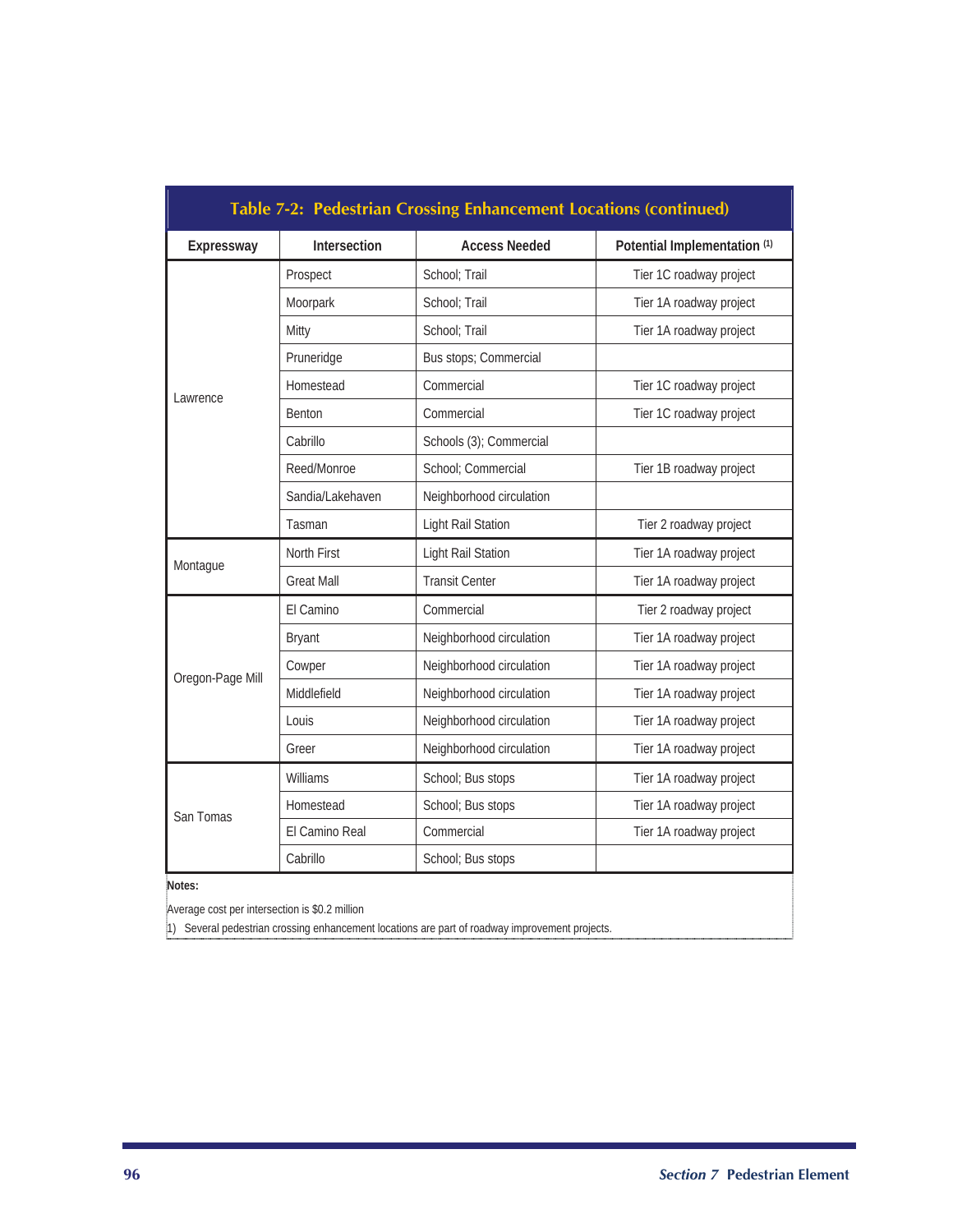| Expressway       | Intersection      | <b>Access Needed</b>     | Potential Implementation (1) |
|------------------|-------------------|--------------------------|------------------------------|
| Lawrence         | Prospect          | School; Trail            | Tier 1C roadway project      |
|                  | Moorpark          | School; Trail            | Tier 1A roadway project      |
|                  | Mitty             | School; Trail            | Tier 1A roadway project      |
|                  | Pruneridge        | Bus stops; Commercial    |                              |
|                  | Homestead         | Commercial               | Tier 1C roadway project      |
|                  | Benton            | Commercial               | Tier 1C roadway project      |
|                  | Cabrillo          | Schools (3); Commercial  |                              |
|                  | Reed/Monroe       | School; Commercial       | Tier 1B roadway project      |
|                  | Sandia/Lakehaven  | Neighborhood circulation |                              |
|                  | Tasman            | Light Rail Station       | Tier 2 roadway project       |
|                  | North First       | Light Rail Station       | Tier 1A roadway project      |
| Montague         | <b>Great Mall</b> | <b>Transit Center</b>    | Tier 1A roadway project      |
|                  | El Camino         | Commercial               | Tier 2 roadway project       |
| Oregon-Page Mill | <b>Bryant</b>     | Neighborhood circulation | Tier 1A roadway project      |
|                  | Cowper            | Neighborhood circulation | Tier 1A roadway project      |
|                  | Middlefield       | Neighborhood circulation | Tier 1A roadway project      |
|                  | Louis             | Neighborhood circulation | Tier 1A roadway project      |
|                  | Greer             | Neighborhood circulation | Tier 1A roadway project      |
| San Tomas        | Williams          | School; Bus stops        | Tier 1A roadway project      |
|                  | Homestead         | School; Bus stops        | Tier 1A roadway project      |
|                  | El Camino Real    | Commercial               | Tier 1A roadway project      |
|                  | Cabrillo          | School; Bus stops        |                              |

1) Several pedestrian crossing enhancement locations are part of roadway improvement projects.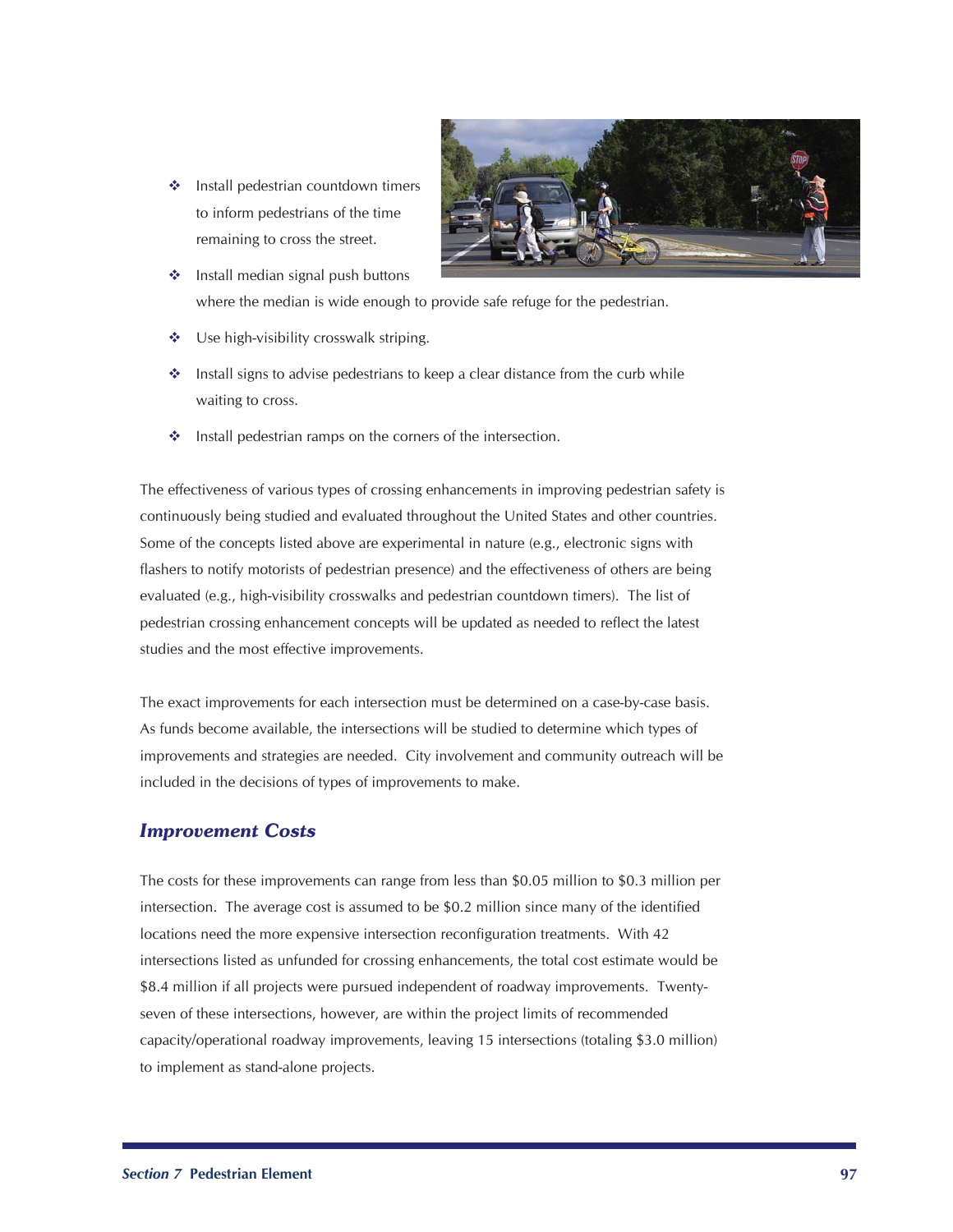Install pedestrian countdown timers to inform pedestrians of the time remaining to cross the street. A.

 $\mathcal{L}_{\mathcal{P}}$ 



where the median is wide enough to provide safe refuge for the pedestrian.

◆ Use high-visibility crosswalk striping.

Install median signal push buttons

- 壘 Install signs to advise pedestrians to keep a clear distance from the curb while waiting to cross.
- $\mathcal{L}_{\mathcal{S}}$ Install pedestrian ramps on the corners of the intersection.

The effectiveness of various types of crossing enhancements in improving pedestrian safety is continuously being studied and evaluated throughout the United States and other countries. Some of the concepts listed above are experimental in nature (e.g., electronic signs with flashers to notify motorists of pedestrian presence) and the effectiveness of others are being evaluated (e.g., high-visibility crosswalks and pedestrian countdown timers). The list of pedestrian crossing enhancement concepts will be updated as needed to reflect the latest studies and the most effective improvements.

The exact improvements for each intersection must be determined on a case-by-case basis. As funds become available, the intersections will be studied to determine which types of improvements and strategies are needed. City involvement and community outreach will be included in the decisions of types of improvements to make.

### *Improvement Costs*

The costs for these improvements can range from less than \$0.05 million to \$0.3 million per intersection. The average cost is assumed to be \$0.2 million since many of the identified locations need the more expensive intersection reconfiguration treatments. With 42 intersections listed as unfunded for crossing enhancements, the total cost estimate would be \$8.4 million if all projects were pursued independent of roadway improvements. Twentyseven of these intersections, however, are within the project limits of recommended capacity/operational roadway improvements, leaving 15 intersections (totaling \$3.0 million) to implement as stand-alone projects.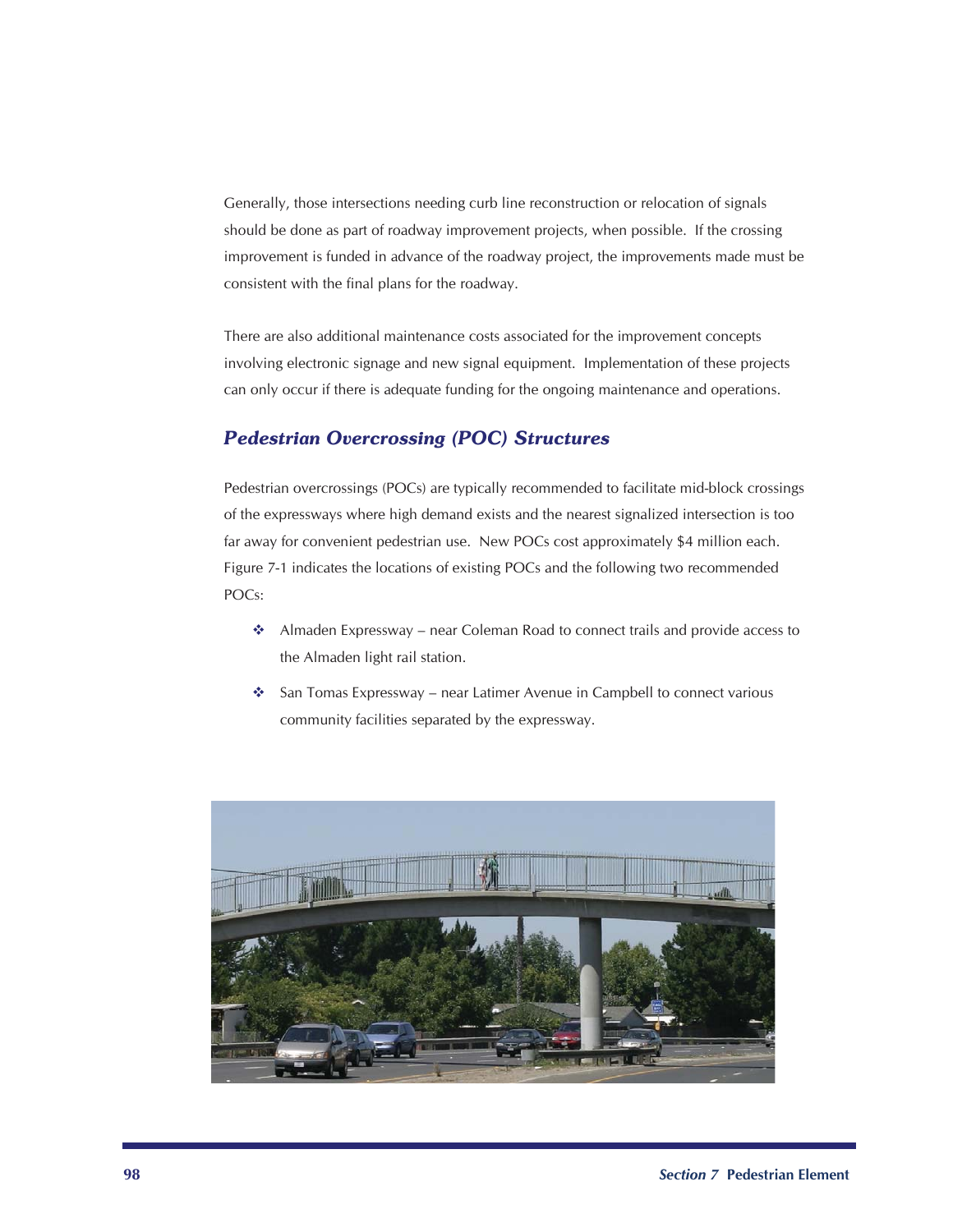Generally, those intersections needing curb line reconstruction or relocation of signals should be done as part of roadway improvement projects, when possible. If the crossing improvement is funded in advance of the roadway project, the improvements made must be consistent with the final plans for the roadway.

There are also additional maintenance costs associated for the improvement concepts involving electronic signage and new signal equipment. Implementation of these projects can only occur if there is adequate funding for the ongoing maintenance and operations.

## *Pedestrian Overcrossing (POC) Structures*

Pedestrian overcrossings (POCs) are typically recommended to facilitate mid-block crossings of the expressways where high demand exists and the nearest signalized intersection is too far away for convenient pedestrian use. New POCs cost approximately \$4 million each. Figure 7-1 indicates the locations of existing POCs and the following two recommended POCs:

- $\triangleleft$  Almaden Expressway near Coleman Road to connect trails and provide access to the Almaden light rail station.
- San Tomas Expressway near Latimer Avenue in Campbell to connect various community facilities separated by the expressway.